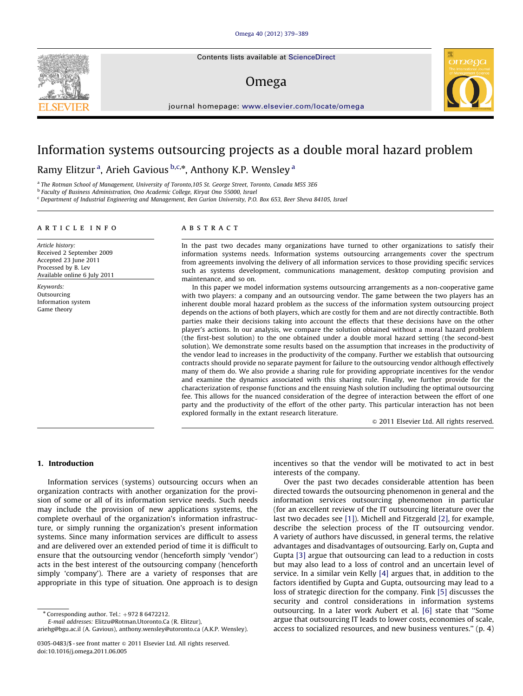Contents lists available at ScienceDirect

## Omega



journal homepage: [www.elsevier.com/locate/omega](www.elsevier.com/ome)

## Information systems outsourcing projects as a double moral hazard problem

Ramy Elitzur<sup>a</sup>, Arieh Gavious <sup>b,c,</sup>\*, Anthony K.P. Wensley <sup>a</sup>

a The Rotman School of Management, University of Toronto, 105 St. George Street, Toronto, Canada M5S 3E6

<sup>b</sup> Faculty of Business Administration, Ono Academic College, Kiryat Ono 55000, Israel

<sup>c</sup> Department of Industrial Engineering and Management, Ben Gurion University, P.O. Box 653, Beer Sheva 84105, Israel

#### article info

Article history: Received 2 September 2009 Accepted 23 June 2011 Processed by B. Lev Available online 6 July 2011

Keywords: Outsourcing Information system Game theory

### ABSTRACT

In the past two decades many organizations have turned to other organizations to satisfy their information systems needs. Information systems outsourcing arrangements cover the spectrum from agreements involving the delivery of all information services to those providing specific services such as systems development, communications management, desktop computing provision and maintenance, and so on.

In this paper we model information systems outsourcing arrangements as a non-cooperative game with two players: a company and an outsourcing vendor. The game between the two players has an inherent double moral hazard problem as the success of the information system outsourcing project depends on the actions of both players, which are costly for them and are not directly contractible. Both parties make their decisions taking into account the effects that these decisions have on the other player's actions. In our analysis, we compare the solution obtained without a moral hazard problem (the first-best solution) to the one obtained under a double moral hazard setting (the second-best solution). We demonstrate some results based on the assumption that increases in the productivity of the vendor lead to increases in the productivity of the company. Further we establish that outsourcing contracts should provide no separate payment for failure to the outsourcing vendor although effectively many of them do. We also provide a sharing rule for providing appropriate incentives for the vendor and examine the dynamics associated with this sharing rule. Finally, we further provide for the characterization of response functions and the ensuing Nash solution including the optimal outsourcing fee. This allows for the nuanced consideration of the degree of interaction between the effort of one party and the productivity of the effort of the other party. This particular interaction has not been explored formally in the extant research literature.

 $\odot$  2011 Elsevier Ltd. All rights reserved.

#### 1. Introduction

Information services (systems) outsourcing occurs when an organization contracts with another organization for the provision of some or all of its information service needs. Such needs may include the provision of new applications systems, the complete overhaul of the organization's information infrastructure, or simply running the organization's present information systems. Since many information services are difficult to assess and are delivered over an extended period of time it is difficult to ensure that the outsourcing vendor (henceforth simply 'vendor') acts in the best interest of the outsourcing company (henceforth simply 'company'). There are a variety of responses that are appropriate in this type of situation. One approach is to design

 $*$  Corresponding author. Tel.:  $+97286472212$ .

E-mail addresses: [Elitzu@Rotman.Utoronto.Ca \(R. Elitzur\)](mailto:ariehg@bgu.ac.il),

ariehg@bgu.ac.il (A. Gavious), [anthony.wensley@utoronto.ca \(A.K.P. Wensley\).](mailto:ariehg@bgu.ac.il)

incentives so that the vendor will be motivated to act in best interests of the company.

Over the past two decades considerable attention has been directed towards the outsourcing phenomenon in general and the information services outsourcing phenomenon in particular (for an excellent review of the IT outsourcing literature over the last two decades see [\[1\]\)](#page--1-0). Michell and Fitzgerald [\[2\]](#page--1-0), for example, describe the selection process of the IT outsourcing vendor. A variety of authors have discussed, in general terms, the relative advantages and disadvantages of outsourcing. Early on, Gupta and Gupta [\[3\]](#page--1-0) argue that outsourcing can lead to a reduction in costs but may also lead to a loss of control and an uncertain level of service. In a similar vein Kelly [\[4\]](#page--1-0) argues that, in addition to the factors identified by Gupta and Gupta, outsourcing may lead to a loss of strategic direction for the company. Fink [\[5\]](#page--1-0) discusses the security and control considerations in information systems outsourcing. In a later work Aubert et al. [\[6\]](#page--1-0) state that ''Some argue that outsourcing IT leads to lower costs, economies of scale, access to socialized resources, and new business ventures.'' (p. 4)



<sup>0305-0483/\$ -</sup> see front matter @ 2011 Elsevier Ltd. All rights reserved. doi:[10.1016/j.omega.2011.06.005](dx.doi.org/10.1016/j.omega.2011.06.005)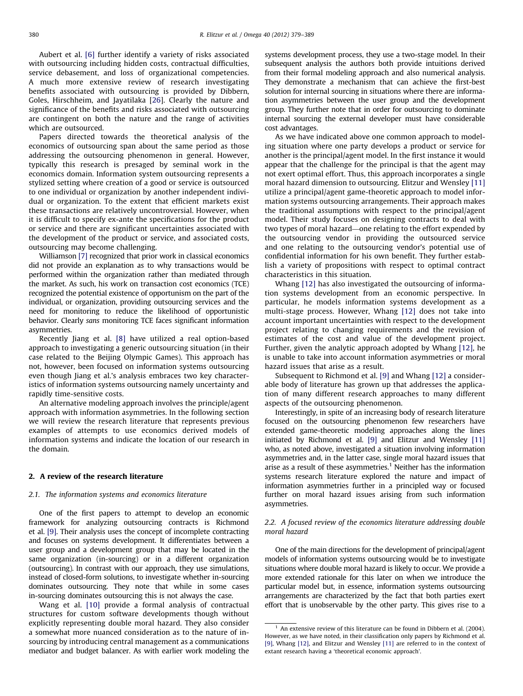Aubert et al. [\[6\]](#page--1-0) further identify a variety of risks associated with outsourcing including hidden costs, contractual difficulties, service debasement, and loss of organizational competencies. A much more extensive review of research investigating benefits associated with outsourcing is provided by Dibbern, Goles, Hirschheim, and Jayatilaka [\[26](#page--1-0)]. Clearly the nature and significance of the benefits and risks associated with outsourcing are contingent on both the nature and the range of activities which are outsourced.

Papers directed towards the theoretical analysis of the economics of outsourcing span about the same period as those addressing the outsourcing phenomenon in general. However, typically this research is presaged by seminal work in the economics domain. Information system outsourcing represents a stylized setting where creation of a good or service is outsourced to one individual or organization by another independent individual or organization. To the extent that efficient markets exist these transactions are relatively uncontroversial. However, when it is difficult to specify ex-ante the specifications for the product or service and there are significant uncertainties associated with the development of the product or service, and associated costs, outsourcing may become challenging.

Williamson [\[7\]](#page--1-0) recognized that prior work in classical economics did not provide an explanation as to why transactions would be performed within the organization rather than mediated through the market. As such, his work on transaction cost economics (TCE) recognized the potential existence of opportunism on the part of the individual, or organization, providing outsourcing services and the need for monitoring to reduce the likelihood of opportunistic behavior. Clearly sans monitoring TCE faces significant information asymmetries.

Recently Jiang et al. [\[8\]](#page--1-0) have utilized a real option-based approach to investigating a generic outsourcing situation (in their case related to the Beijing Olympic Games). This approach has not, however, been focused on information systems outsourcing even though Jiang et al.'s analysis embraces two key characteristics of information systems outsourcing namely uncertainty and rapidly time-sensitive costs.

An alternative modeling approach involves the principle/agent approach with information asymmetries. In the following section we will review the research literature that represents previous examples of attempts to use economics derived models of information systems and indicate the location of our research in the domain.

#### 2. A review of the research literature

#### 2.1. The information systems and economics literature

One of the first papers to attempt to develop an economic framework for analyzing outsourcing contracts is Richmond et al. [\[9\]](#page--1-0). Their analysis uses the concept of incomplete contracting and focuses on systems development. It differentiates between a user group and a development group that may be located in the same organization (in-sourcing) or in a different organization (outsourcing). In contrast with our approach, they use simulations, instead of closed-form solutions, to investigate whether in-sourcing dominates outsourcing. They note that while in some cases in-sourcing dominates outsourcing this is not always the case.

Wang et al. [\[10\]](#page--1-0) provide a formal analysis of contractual structures for custom software developments though without explicitly representing double moral hazard. They also consider a somewhat more nuanced consideration as to the nature of insourcing by introducing central management as a communications mediator and budget balancer. As with earlier work modeling the

systems development process, they use a two-stage model. In their subsequent analysis the authors both provide intuitions derived from their formal modeling approach and also numerical analysis. They demonstrate a mechanism that can achieve the first-best solution for internal sourcing in situations where there are information asymmetries between the user group and the development group. They further note that in order for outsourcing to dominate internal sourcing the external developer must have considerable cost advantages.

As we have indicated above one common approach to modeling situation where one party develops a product or service for another is the principal/agent model. In the first instance it would appear that the challenge for the principal is that the agent may not exert optimal effort. Thus, this approach incorporates a single moral hazard dimension to outsourcing. Elitzur and Wensley [\[11\]](#page--1-0) utilize a principal/agent game-theoretic approach to model information systems outsourcing arrangements. Their approach makes the traditional assumptions with respect to the principal/agent model. Their study focuses on designing contracts to deal with two types of moral hazard—one relating to the effort expended by the outsourcing vendor in providing the outsourced service and one relating to the outsourcing vendor's potential use of confidential information for his own benefit. They further establish a variety of propositions with respect to optimal contract characteristics in this situation.

Whang [\[12\]](#page--1-0) has also investigated the outsourcing of information systems development from an economic perspective. In particular, he models information systems development as a multi-stage process. However, Whang [\[12\]](#page--1-0) does not take into account important uncertainties with respect to the development project relating to changing requirements and the revision of estimates of the cost and value of the development project. Further, given the analytic approach adopted by Whang [\[12\],](#page--1-0) he is unable to take into account information asymmetries or moral hazard issues that arise as a result.

Subsequent to Richmond et al. [\[9\]](#page--1-0) and Whang [\[12\]](#page--1-0) a considerable body of literature has grown up that addresses the application of many different research approaches to many different aspects of the outsourcing phenomenon.

Interestingly, in spite of an increasing body of research literature focused on the outsourcing phenomenon few researchers have extended game-theoretic modeling approaches along the lines initiated by Richmond et al. [\[9\]](#page--1-0) and Elitzur and Wensley [\[11\]](#page--1-0) who, as noted above, investigated a situation involving information asymmetries and, in the latter case, single moral hazard issues that arise as a result of these asymmetries.<sup>1</sup> Neither has the information systems research literature explored the nature and impact of information asymmetries further in a principled way or focused further on moral hazard issues arising from such information asymmetries.

#### 2.2. A focused review of the economics literature addressing double moral hazard

One of the main directions for the development of principal/agent models of information systems outsourcing would be to investigate situations where double moral hazard is likely to occur. We provide a more extended rationale for this later on when we introduce the particular model but, in essence, information systems outsourcing arrangements are characterized by the fact that both parties exert effort that is unobservable by the other party. This gives rise to a

 $1$  An extensive review of this literature can be found in Dibbern et al. (2004). However, as we have noted, in their classification only papers by Richmond et al. [\[9\]](#page--1-0), Whang [\[12\],](#page--1-0) and Elitzur and Wensley [\[11\]](#page--1-0) are referred to in the context of extant research having a 'theoretical economic approach'.